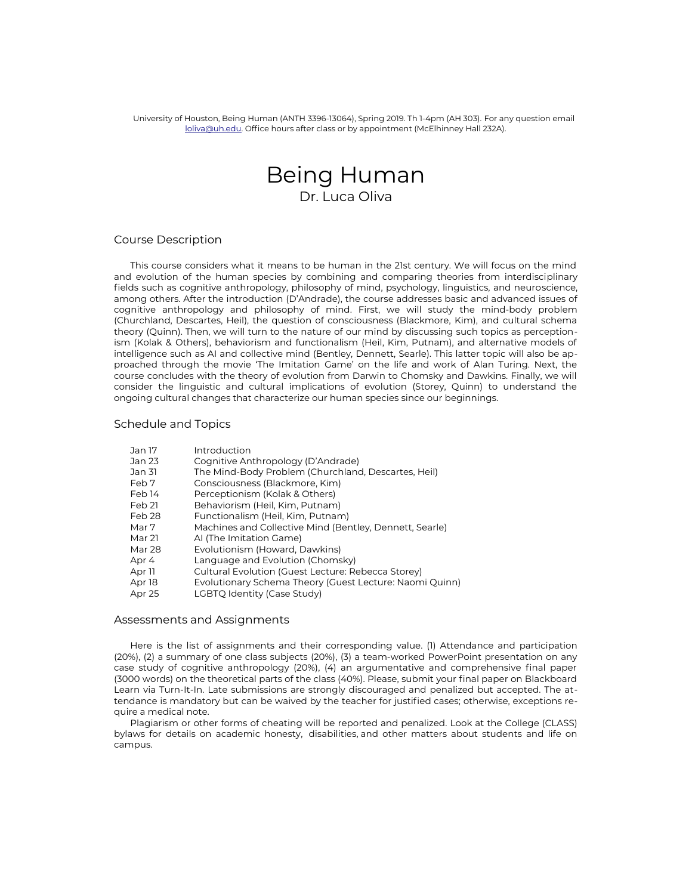University of Houston, Being Human (ANTH 3396-13064), Spring 2019. Th 1-4pm (AH 303). For any question email [loliva@uh.edu.](mailto:loliva@uh.edu) Office hours after class or by appointment (McElhinney Hall 232A).

# Being Human Dr. Luca Oliva

### Course Description

This course considers what it means to be human in the 21st century. We will focus on the mind and evolution of the human species by combining and comparing theories from interdisciplinary felds such as cognitive anthropology, philosophy of mind, psychology, linguistics, and neuroscience, among others. After the introduction (D'Andrade), the course addresses basic and advanced issues of cognitive anthropology and philosophy of mind. First, we will study the mind-body problem (Churchland, Descartes, Heil), the question of consciousness (Blackmore, Kim), and cultural schema theory (Quinn). Then, we will turn to the nature of our mind by discussing such topics as perceptionism (Kolak & Others), behaviorism and functionalism (Heil, Kim, Putnam), and alternative models of intelligence such as AI and collective mind (Bentley, Dennett, Searle). This latter topic will also be approached through the movie 'The Imitation Game' on the life and work of Alan Turing. Next, the course concludes with the theory of evolution from Darwin to Chomsky and Dawkins. Finally, we will consider the linguistic and cultural implications of evolution (Storey, Quinn) to understand the ongoing cultural changes that characterize our human species since our beginnings.

#### Schedule and Topics

| Jan 17 | Introduction                                            |
|--------|---------------------------------------------------------|
| Jan 23 | Cognitive Anthropology (D'Andrade)                      |
| Jan 31 | The Mind-Body Problem (Churchland, Descartes, Heil)     |
| Feb 7  | Consciousness (Blackmore, Kim)                          |
| Feb 14 | Perceptionism (Kolak & Others)                          |
| Feb 21 | Behaviorism (Heil, Kim, Putnam)                         |
| Feb 28 | Functionalism (Heil, Kim, Putnam)                       |
| Mar 7  | Machines and Collective Mind (Bentley, Dennett, Searle) |
| Mar 21 | AI (The Imitation Game)                                 |
| Mar 28 | Evolutionism (Howard, Dawkins)                          |
| Apr 4  | Language and Evolution (Chomsky)                        |
| Apr 11 | Cultural Evolution (Guest Lecture: Rebecca Storey)      |
| Apr 18 | Evolutionary Schema Theory (Guest Lecture: Naomi Quinn) |
| Apr 25 | LGBTQ Identity (Case Study)                             |

#### Assessments and Assignments

Here is the list of assignments and their corresponding value. (1) Attendance and participation (20%), (2) a summary of one class subjects (20%), (3) a team-worked PowerPoint presentation on any case study of cognitive anthropology (20%), (4) an argumentative and comprehensive fnal paper (3000 words) on the theoretical parts of the class (40%). Please, submit your final paper on Blackboard Learn via Turn-It-In. Late submissions are strongly discouraged and penalized but accepted. The attendance is mandatory but can be waived by the teacher for justifed cases; otherwise, exceptions require a medical note.

Plagiarism or other forms of cheating will be reported and penalized. Look at the College (CLASS) bylaws for details on academic honesty, disabilities, and other matters about students and life on campus.